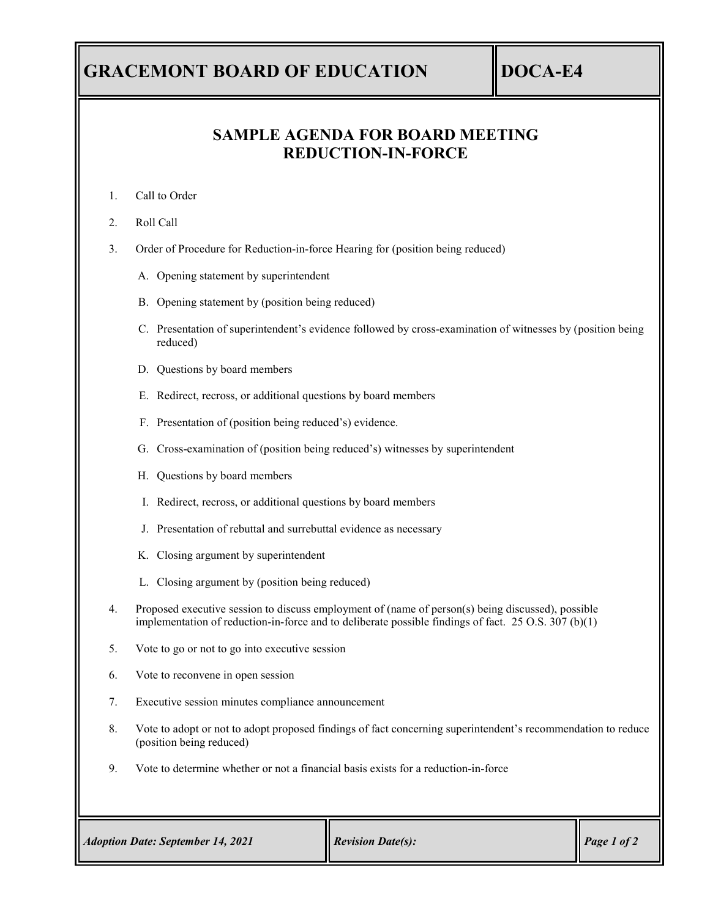## **GRACEMONT BOARD OF EDUCATION DOCA-E4**

## **SAMPLE AGENDA FOR BOARD MEETING REDUCTION-IN-FORCE**

- 1. Call to Order
- 2. Roll Call
- 3. Order of Procedure for Reduction-in-force Hearing for (position being reduced)
	- A. Opening statement by superintendent
	- B. Opening statement by (position being reduced)
	- C. Presentation of superintendent's evidence followed by cross-examination of witnesses by (position being reduced)
	- D. Questions by board members
	- E. Redirect, recross, or additional questions by board members
	- F. Presentation of (position being reduced's) evidence.
	- G. Cross-examination of (position being reduced's) witnesses by superintendent
	- H. Questions by board members
	- I. Redirect, recross, or additional questions by board members
	- J. Presentation of rebuttal and surrebuttal evidence as necessary
	- K. Closing argument by superintendent
	- L. Closing argument by (position being reduced)
- 4. Proposed executive session to discuss employment of (name of person(s) being discussed), possible implementation of reduction-in-force and to deliberate possible findings of fact. 25 O.S. 307 (b)(1)
- 5. Vote to go or not to go into executive session
- 6. Vote to reconvene in open session
- 7. Executive session minutes compliance announcement
- 8. Vote to adopt or not to adopt proposed findings of fact concerning superintendent's recommendation to reduce (position being reduced)
- 9. Vote to determine whether or not a financial basis exists for a reduction-in-force